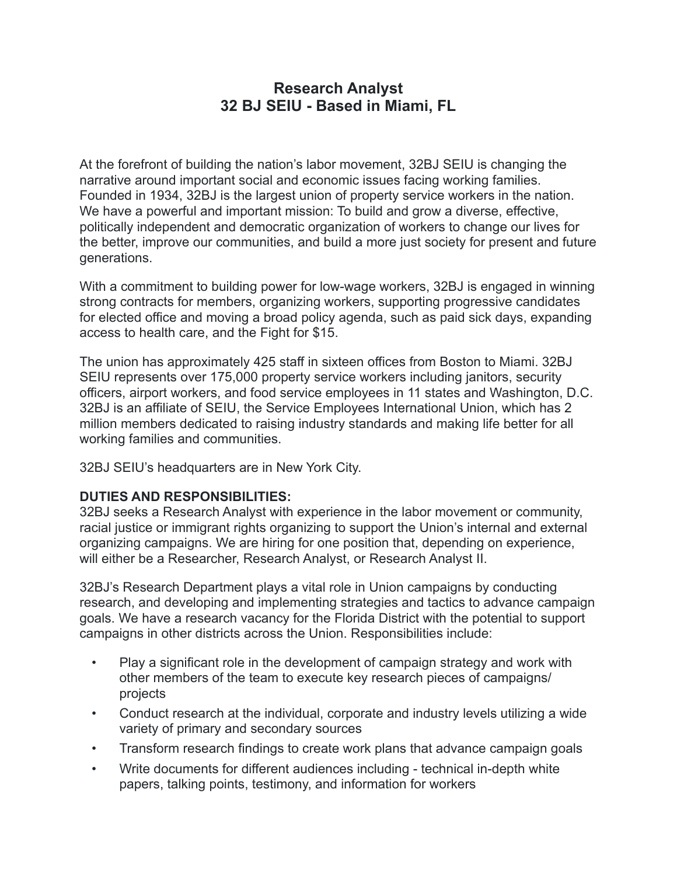# **Research Analyst 32 BJ SEIU - Based in Miami, FL**

At the forefront of building the nation's labor movement, 32BJ SEIU is changing the narrative around important social and economic issues facing working families. Founded in 1934, 32BJ is the largest union of property service workers in the nation. We have a powerful and important mission: To build and grow a diverse, effective, politically independent and democratic organization of workers to change our lives for the better, improve our communities, and build a more just society for present and future generations.

With a commitment to building power for low-wage workers, 32BJ is engaged in winning strong contracts for members, organizing workers, supporting progressive candidates for elected office and moving a broad policy agenda, such as paid sick days, expanding access to health care, and the Fight for \$15.

The union has approximately 425 staff in sixteen offices from Boston to Miami. 32BJ SEIU represents over 175,000 property service workers including janitors, security officers, airport workers, and food service employees in 11 states and Washington, D.C. 32BJ is an affiliate of SEIU, the Service Employees International Union, which has 2 million members dedicated to raising industry standards and making life better for all working families and communities.

32BJ SEIU's headquarters are in New York City.

### **DUTIES AND RESPONSIBILITIES:**

32BJ seeks a Research Analyst with experience in the labor movement or community, racial justice or immigrant rights organizing to support the Union's internal and external organizing campaigns. We are hiring for one position that, depending on experience, will either be a Researcher, Research Analyst, or Research Analyst II.

32BJ's Research Department plays a vital role in Union campaigns by conducting research, and developing and implementing strategies and tactics to advance campaign goals. We have a research vacancy for the Florida District with the potential to support campaigns in other districts across the Union. Responsibilities include:

- Play a significant role in the development of campaign strategy and work with other members of the team to execute key research pieces of campaigns/ projects
- Conduct research at the individual, corporate and industry levels utilizing a wide variety of primary and secondary sources
- Transform research findings to create work plans that advance campaign goals
- Write documents for different audiences including technical in-depth white papers, talking points, testimony, and information for workers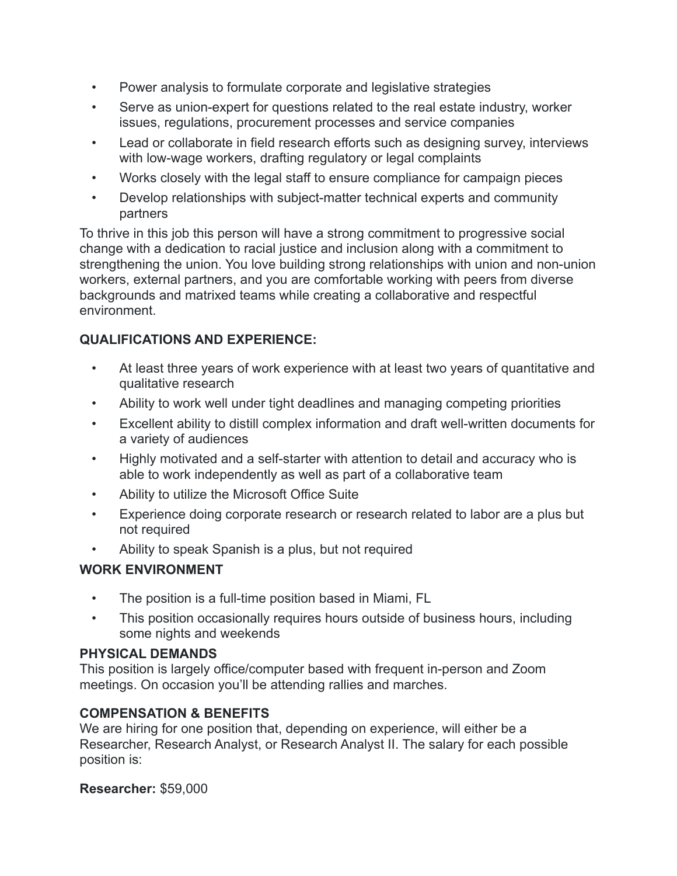- Power analysis to formulate corporate and legislative strategies
- Serve as union-expert for questions related to the real estate industry, worker issues, regulations, procurement processes and service companies
- Lead or collaborate in field research efforts such as designing survey, interviews with low-wage workers, drafting regulatory or legal complaints
- Works closely with the legal staff to ensure compliance for campaign pieces
- Develop relationships with subject-matter technical experts and community partners

To thrive in this job this person will have a strong commitment to progressive social change with a dedication to racial justice and inclusion along with a commitment to strengthening the union. You love building strong relationships with union and non-union workers, external partners, and you are comfortable working with peers from diverse backgrounds and matrixed teams while creating a collaborative and respectful environment.

# **QUALIFICATIONS AND EXPERIENCE:**

- At least three years of work experience with at least two years of quantitative and qualitative research
- Ability to work well under tight deadlines and managing competing priorities
- Excellent ability to distill complex information and draft well-written documents for a variety of audiences
- Highly motivated and a self-starter with attention to detail and accuracy who is able to work independently as well as part of a collaborative team
- Ability to utilize the Microsoft Office Suite
- Experience doing corporate research or research related to labor are a plus but not required
- Ability to speak Spanish is a plus, but not required

## **WORK ENVIRONMENT**

- The position is a full-time position based in Miami, FL
- This position occasionally requires hours outside of business hours, including some nights and weekends

## **PHYSICAL DEMANDS**

This position is largely office/computer based with frequent in-person and Zoom meetings. On occasion you'll be attending rallies and marches.

## **COMPENSATION & BENEFITS**

We are hiring for one position that, depending on experience, will either be a Researcher, Research Analyst, or Research Analyst II. The salary for each possible position is:

**Researcher:** \$59,000